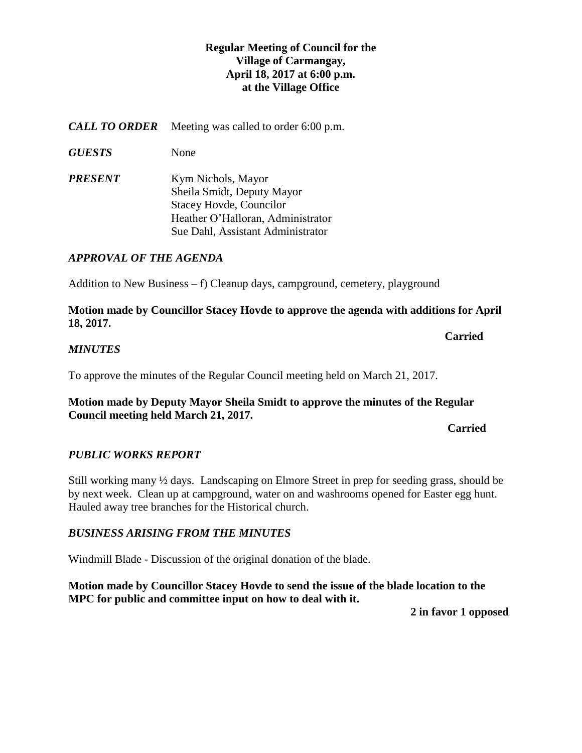# **Regular Meeting of Council for the Village of Carmangay, April 18, 2017 at 6:00 p.m. at the Village Office**

*CALL TO ORDER* Meeting was called to order 6:00 p.m.

*GUESTS* None

*PRESENT* Kym Nichols, Mayor Sheila Smidt, Deputy Mayor Stacey Hovde, Councilor Heather O'Halloran, Administrator Sue Dahl, Assistant Administrator

# *APPROVAL OF THE AGENDA*

Addition to New Business – f) Cleanup days, campground, cemetery, playground

**Motion made by Councillor Stacey Hovde to approve the agenda with additions for April 18, 2017.**

**Carried** 

# *MINUTES*

To approve the minutes of the Regular Council meeting held on March 21, 2017.

**Motion made by Deputy Mayor Sheila Smidt to approve the minutes of the Regular Council meeting held March 21, 2017.** 

*Carried* 

# *PUBLIC WORKS REPORT*

Still working many ½ days. Landscaping on Elmore Street in prep for seeding grass, should be by next week. Clean up at campground, water on and washrooms opened for Easter egg hunt. Hauled away tree branches for the Historical church.

# *BUSINESS ARISING FROM THE MINUTES*

Windmill Blade - Discussion of the original donation of the blade.

**Motion made by Councillor Stacey Hovde to send the issue of the blade location to the MPC for public and committee input on how to deal with it.**

**2 in favor 1 opposed**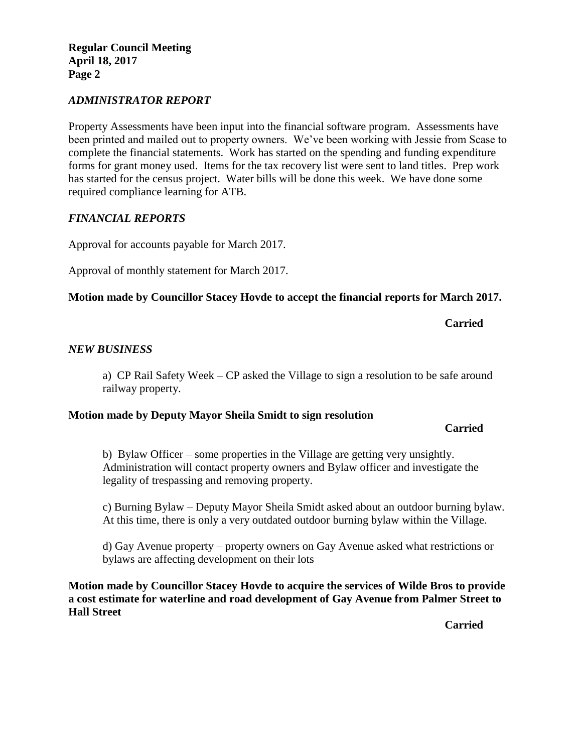**Regular Council Meeting April 18, 2017 Page 2**

### *ADMINISTRATOR REPORT*

Property Assessments have been input into the financial software program. Assessments have been printed and mailed out to property owners. We've been working with Jessie from Scase to complete the financial statements. Work has started on the spending and funding expenditure forms for grant money used. Items for the tax recovery list were sent to land titles. Prep work has started for the census project. Water bills will be done this week. We have done some required compliance learning for ATB.

### *FINANCIAL REPORTS*

Approval for accounts payable for March 2017.

Approval of monthly statement for March 2017.

### **Motion made by Councillor Stacey Hovde to accept the financial reports for March 2017.**

**Carried**

### *NEW BUSINESS*

a) CP Rail Safety Week – CP asked the Village to sign a resolution to be safe around railway property.

#### **Motion made by Deputy Mayor Sheila Smidt to sign resolution**

#### **Carried**

b) Bylaw Officer – some properties in the Village are getting very unsightly. Administration will contact property owners and Bylaw officer and investigate the legality of trespassing and removing property.

c) Burning Bylaw – Deputy Mayor Sheila Smidt asked about an outdoor burning bylaw. At this time, there is only a very outdated outdoor burning bylaw within the Village.

d) Gay Avenue property – property owners on Gay Avenue asked what restrictions or bylaws are affecting development on their lots

**Motion made by Councillor Stacey Hovde to acquire the services of Wilde Bros to provide a cost estimate for waterline and road development of Gay Avenue from Palmer Street to Hall Street**

**Carried**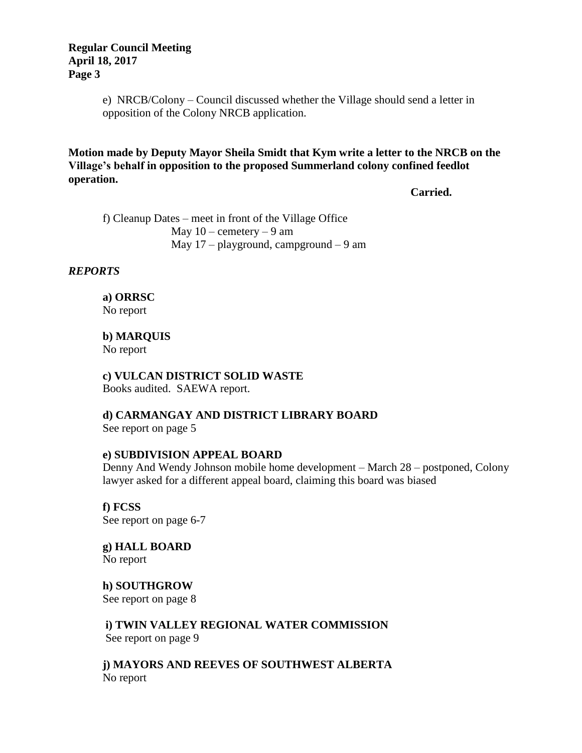e) NRCB/Colony – Council discussed whether the Village should send a letter in opposition of the Colony NRCB application.

**Motion made by Deputy Mayor Sheila Smidt that Kym write a letter to the NRCB on the Village's behalf in opposition to the proposed Summerland colony confined feedlot operation.**

**Carried.**

f) Cleanup Dates – meet in front of the Village Office May  $10$  – cemetery – 9 am May  $17$  – playground, campground – 9 am

### *REPORTS*

**a) ORRSC** No report

**b) MARQUIS**  No report

**c) VULCAN DISTRICT SOLID WASTE**  Books audited. SAEWA report.

**d) CARMANGAY AND DISTRICT LIBRARY BOARD** See report on page 5

### **e) SUBDIVISION APPEAL BOARD**

Denny And Wendy Johnson mobile home development – March 28 – postponed, Colony lawyer asked for a different appeal board, claiming this board was biased

**f) FCSS**  See report on page 6-7

**g) HALL BOARD** No report

**h) SOUTHGROW** See report on page 8

**i) TWIN VALLEY REGIONAL WATER COMMISSION** See report on page 9

**j) MAYORS AND REEVES OF SOUTHWEST ALBERTA** No report